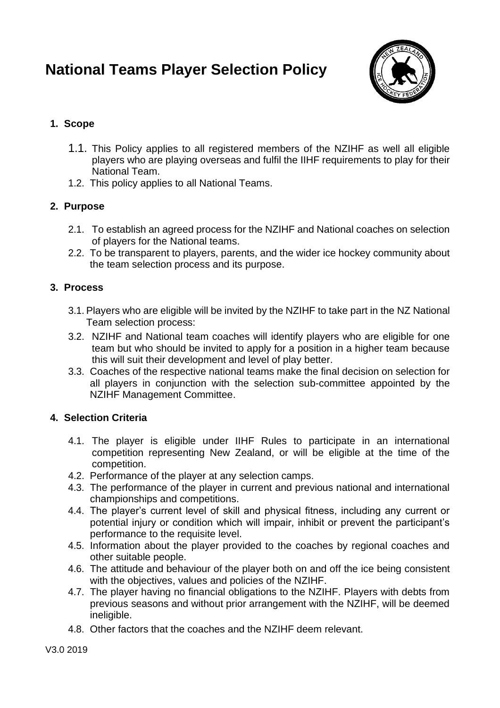# **National Teams Player Selection Policy**



## **1. Scope**

- 1.1. This Policy applies to all registered members of the NZIHF as well all eligible players who are playing overseas and fulfil the IIHF requirements to play for their National Team.
- 1.2. This policy applies to all National Teams.

### **2. Purpose**

- 2.1. To establish an agreed process for the NZIHF and National coaches on selection of players for the National teams.
- 2.2. To be transparent to players, parents, and the wider ice hockey community about the team selection process and its purpose.

### **3. Process**

- 3.1. Players who are eligible will be invited by the NZIHF to take part in the NZ National Team selection process:
- 3.2. NZIHF and National team coaches will identify players who are eligible for one team but who should be invited to apply for a position in a higher team because this will suit their development and level of play better.
- 3.3. Coaches of the respective national teams make the final decision on selection for all players in conjunction with the selection sub-committee appointed by the NZIHF Management Committee.

### **4. Selection Criteria**

- 4.1. The player is eligible under IIHF Rules to participate in an international competition representing New Zealand, or will be eligible at the time of the competition.
- 4.2. Performance of the player at any selection camps.
- 4.3. The performance of the player in current and previous national and international championships and competitions.
- 4.4. The player's current level of skill and physical fitness, including any current or potential injury or condition which will impair, inhibit or prevent the participant's performance to the requisite level.
- 4.5. Information about the player provided to the coaches by regional coaches and other suitable people.
- 4.6. The attitude and behaviour of the player both on and off the ice being consistent with the objectives, values and policies of the NZIHF.
- 4.7. The player having no financial obligations to the NZIHF. Players with debts from previous seasons and without prior arrangement with the NZIHF, will be deemed ineligible.
- 4.8. Other factors that the coaches and the NZIHF deem relevant.